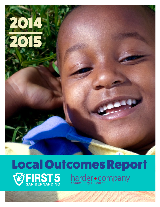

## Local Outcomes Report<br> *WERST5* harder+company harder+company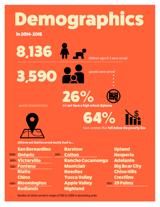# Demographics

in 2014-2015

8,136 A.P children ages 0-5 were served

parents were served

parent characteristics:

26**%** did **not have a high school diploma**

64**%**

have incomes that **fall below the poverty line**

nga

**Children and families served mostly lived in...**

3,590

| <b>San Bernardino</b> |        | <b>Barsfow</b>       |
|-----------------------|--------|----------------------|
| 1000+ Ontario         | $200+$ | <b>Colton</b>        |
| 600+ Victorville      |        | <b>Rancho Cucamo</b> |
| 500+ Fontana          |        | <b>Montclair</b>     |
| <b>Rialto</b>         |        | <b>Needles</b>       |
| <b>Chino</b>          |        | <b>Yucca Valley</b>  |
| 400+ Bloomington      |        | <b>Apple Valley</b>  |
| <b>Redlands</b>       |        | <b>Highland</b>      |

Upland Hesperia Adelanto Big Bear City Chino Hills **Crestline** 100+ 29 Palms

Number of clients served in ranges of 100 to 1,000 in descending order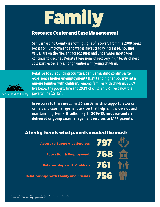# Family

#### Resource Center and Case Management

San Bernardino County is showing signs of recovery from the 2008 Great Recession. Employment and wages have steadily increased, housing values are on the rise, and foreclosures and underwater mortgages continue to decline<sup>1</sup>. Despite these signs of recovery, high levels of need still exist, especially among families with young children.



**Relative to surrounding counties, San Bernardino continues to experience higher unemployment (11.2%) and higher poverty rates among families with children.** Among families with children, 23.6% live below the poverty line and 29.1% of children 0-5 live below the poverty line (29.1%)<sup>2</sup>.

In response to these needs, First 5 San Bernardino supports resource centers and case management services that help families develop and maintain long-term self-sufficiency. **In 2014-15, resource centers delivered ongoing case management services to 1,144 parents.**

#### At entry, here is what parents needed the most:

**Access to Supportive Services**

**Education & Employment**

**Relationships with Children**

**Relationships with Family and Friends**

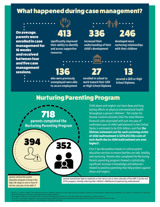#### What happened during case management?

On average, parents were enrolled in case management for 16 weeks and received between four and five case management sessions.

**significantly improved their ability to identify and access supportive resources**

**who were previously unemployed were able to secure employment** 413 336 246

**increased their understanding of their child's development**

**developed more nurturing relationships with their children**

136 27 13

**enrolled in school to work toward their GED or High School Diploma**

**secured a GED or High School Diploma**

#### Nurturing Parenting Program



Child abuse and neglect can have deep and long lasting effects on physical and emotional health throughout a person's lifetime<sup>3</sup>. The Center for Disease Control estimates that the total lifetime financial costs associated with just one year of confirmed cases of child maltreatment in the United States is estimated to be \$124 billion, and that **the lifetime estimated cost for each surviving victim of child maltreatment is \$210,012 (the costs of each death due to child maltreatment are even higher)4 .** 

First 5 San Bernardino invests in critical parent education services to ensure families are safe, healthy, and nurturing. Parents who completed the Nurturing Parents parenting program showed a statistically significant increase in knowledge and behaviors related to positive parenting that help protect against abuse and neglect.

parents entered the parent education program scoring in the high risk range on one or more of the five subscales of the AAPI-25

parents moved from high to moderate or low risk on one or more subscales of the AAPI-2 by the end of the program, thereby reducing their children's likelihood of experiencing maltreatment.

Felitti, V. J., & Anda, R. (2009). The relationship of adverse childhood experiences to adult medical disease, psychiatric disorders, and sexual behavior: Implications for healthcare. In R. Lanius, E. Vermetten, & C. Pain

4

The Hidden Epidemic: The impact of early life trauma on health and disease.<br><sup>4</sup> This estimate includes the costs of child health care, adult medical bills, productivity losses, and child welfare and criminal justice system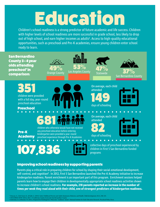## Education

Children's school readiness is a strong predictor of future academic and life success. Children with higher levels of school readiness are more successful in grade school, less likely to drop out of high school, and earn higher incomes as adults<sup>6</sup>. Access to high-quality educational opportunities, such as preschool and Pre-K academies, ensure young children enter school ready to learn.



#### Improving school readiness by supporting parents

Parents play a critical role in preparing children for school by shaping their social-emotional development, self-control, and cognition<sup>s</sup>. In 2012, First 5 San Bernardino launched the Pre-K Academy initiative to increase kindergarten readiness. Parent enrichment is an important part of this program. Enrichment sessions helped parents learn how to engage their children in developmentally appropriate school readiness activities shown to increase children's school readiness. **For example, 218 parents reported an increase in the number of times per week they read aloud with their child, one of strongest predictors of kindergarten readiness.**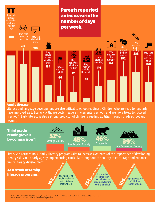

#### Family Literacy

Literacy and language development are also critical to school readiness. Children who are read to regularly have improved early literacy skills, are better readers in elementary school, and are more likely to succeed in school<sup>9</sup>. Early literacy is also a strong predictor of children's reading abilities through grade school and beyond.

Third grade reading levels by comparison<sup>10</sup>:







First 5 San Bernardino's Family Literacy programs aim to increase awareness of the importance of developing literacy skills at an early age by implementing curricula throughout the county to encourage and enhance family literacy development.

As a result of family literacy programs:

**168 Parents increased the reason of the reason of the reason increased** the number of books read with their child on a weekly basis

the number of times they participated in reading activities with their child **books at home the participated in**<br> **books at home**<br> **books at home**<br> **books at home**<br> **books at home** 

their inventory of children's **105 Parents increased** 

9 Rhode Island KIDS COUNT (2005). Getting Ready: Findings from the National School Readiness Indicators Initiative, a 17 State Partnership.

<sup>10</sup> CH1LDREN NOW (2014). 2014-15 California County Scorecard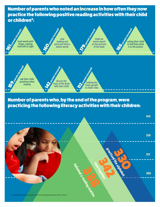Number of parents who noted an increase in how often they now practice the following positive reading activities with their child or children<sup>11</sup>:



#### Number of parents who, by the end of the program, were practicing the following literacy activities with their children:

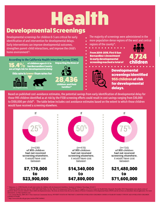# Health

## Developmental Screenings

Developmental screenings for children 0-5 are critical for early identification of and intervention for developmental delays. Early interventions can improve developmental outcomes, strengthen parent-child interactions, and improve the child's home environment<sup>12</sup>.

of children ages 0-5 in **impacting the lives of the secreening reached a total of children** of children ages 0-5 in<br>San Bernardino County 15.4% of children ages 0-5 in<br>are at high risk for developmental delay **According to the California Health Interview Survey (CHIS)** impacting the lives of

this rate is lower than rates for







The majority of screenings were administered in the more population dense regions of the west and central regions of the county<sup>14</sup>.

From 2014-2015, First 5 San Bernardino**'**s investment in early developmental





Developmental screenings identified 955 children at risk for developmental delays.

Based on published cost-avoidance estimates, the potential savings from early identification of developmental delay for those 995 children identified as at risk by the F5SB screening efforts could result in cost savings ranging from \$30,000 to \$100,000 per child<sup>15</sup>. The table below includes cost avoidance estimates based on the extent to which those children would have received a screening elsewhere.



12 Majnemer, A. (1998) Benefits of early intervention for children with developmental disabilities. Seminars in Pediatric Neurology, 5(1):62-9.

<sup>3</sup> California Health Interview Survey. CHIS 2009 Child Public Use File. Risk of Developmental Delays (PEDS). Los Angeles, CA: UCLA Center for Health Policy Research, November 2015. Respondents were asked a series of questions about concerns related to their child's developmental status. The items are drawn from the survey edition of Parents' Evaluation of Developmental Status (PEDS) and do not have an immediate clinical application. F information, see http://pedstest.com/

.<br>1. Census Bureau, 2009-2013 5-Year American Community Survey. POVERTY STATUS IN THE PAST 12 MONTHS OF RELATED CHILDREN UNDER 18 YEARS BY FAMILY TYPE BY AGE OF RELATED CHILDREN UNDER 18 YEARS.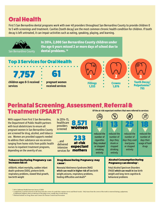## Oral Health

First 5 San Bernardino dental programs work with over 40 providers throughout San Bernardino County to provide children 0 to 5 with screenings and treatment. Cavities (tooth decay) are the most common chronic health condition for children. If tooth decay is left untreated, it can impair activities such as eating, speaking, playing, and learning.



#### Perinatal Screening, Assessment, Referral & Treatment (PSART) **Of the at-risk expectant mothers that were referred to services:**  $\bigcap$  $\Omega$  $\widehat{\phantom{a}}$

| With support from First 5 San Bernardino,                                                                                                                                                                                                                                                                                                                                                                                                                                                     | In 2014-15,                                                                                                                                                                          | 그램)                                                                                                    |                                                                                                                                            |                                                                                   | ≪.                                                               |
|-----------------------------------------------------------------------------------------------------------------------------------------------------------------------------------------------------------------------------------------------------------------------------------------------------------------------------------------------------------------------------------------------------------------------------------------------------------------------------------------------|--------------------------------------------------------------------------------------------------------------------------------------------------------------------------------------|--------------------------------------------------------------------------------------------------------|--------------------------------------------------------------------------------------------------------------------------------------------|-----------------------------------------------------------------------------------|------------------------------------------------------------------|
| healthcare<br>the Department of Public Health partners<br>providers<br>with local obstetricians to ensure all<br>screened<br>pregnant women in San Bernardino County<br>are screened for drug, alcohol, and tobacco<br>use. Women are provided supports needed<br>to address their substance use via services<br>and<br>ranging from home visits from public health<br>delivered<br>nurses to inpatient treatment programs,<br>intensive<br>depending on the severity of use.<br>services for | 8,571<br>women                                                                                                                                                                       | reduced the<br>number of<br><b>cigarettes</b><br>they smoked<br>or stopped<br>smoking<br>entirely      | F<br>reduced the<br>number of<br>days they<br>drank or<br>stopped<br>drinking<br>entirely                                                  | reduced the<br>number of<br>days they used<br>marijuana<br>or stopped<br>entirely | reduced the<br>number of<br>days their<br>usage of hard<br>drugs |
|                                                                                                                                                                                                                                                                                                                                                                                                                                                                                               | 233<br>at-risk<br>expectant<br>mothers                                                                                                                                               |                                                                                                        |                                                                                                                                            |                                                                                   |                                                                  |
| <b>Tobacco Use During Pregnancy can</b><br>increase risk of:                                                                                                                                                                                                                                                                                                                                                                                                                                  | cause <sup>*</sup> :                                                                                                                                                                 | <b>Alcohol Consumption During</b><br><b>Drug Abuse During Pregnancy may</b><br>Pregnancy can develop*: |                                                                                                                                            |                                                                                   |                                                                  |
| stillbirth, infant mortality, sudden infant<br>death syndrome (SIDS), preterm birth.<br>respiratory problems, slowed fetal growth,<br>low birth weight                                                                                                                                                                                                                                                                                                                                        | <b>Neonatal Abstinence Syndrome (NAS)</b><br>which can result in higher risk of low birth<br>weight, seizures, respiratory problems,<br>feeding difficulties and death <sup>18</sup> |                                                                                                        | <b>Fetal Alcohol Spectrum Disorders</b><br>(FASD) which can result in low birth<br>weight and long-term cognitive &<br>behavioral problems |                                                                                   |                                                                  |

 $\widehat{\mathscr{L}}$ 

A pulpotomy happens when an infection of the pulp occurs, usually due to tooth decay. 18 National Institute on Drug Abuse and Centers for Disease Control and Prevention

<sup>16 2014</sup> California Health Interview Survey (CHIS)

<sup>&</sup>lt;sup>17</sup> A pulpotomy is partial removal of soft tissue from the crown of a tooth that contains nerves and blood vessels. Only tissue from the crown of the tooth is removed during a pulpotomy.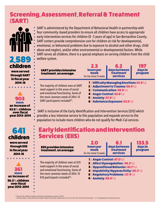### Screening, Assessment, Referral & Treatment (SART)



were served through SART in fiscal year 2014-15

#### 903 more an increase of

53.6% children over fiscal year 2013-2014

## 641 children

were served through EIIS in fiscal year 2014-15



SART is administered by the Department of Behavioral Health in partnership with four community-based providers to ensure all children have access to appropriate early intervention services for children (0 -5 years of age) in San Bernardino County. SART centers provide comprehensive care for children at risk for developmental, emotional, or behavioral problems due to exposure to alcohol and other drugs, child abuse and neglect, and/or other environmental or developmental factors. While SART serves all children, there is a special emphasis on serving children from the child welfare system.

| <b>SART provides intensive</b><br>treatment, on average:                                                                                                                                             | 2.3<br>hours per<br><b>week</b><br>for the initial 12 weeks | 57<br>days between<br>treatment<br><b>services</b>                                                                                                             | <b>I にア</b><br>days in<br>program |
|------------------------------------------------------------------------------------------------------------------------------------------------------------------------------------------------------|-------------------------------------------------------------|----------------------------------------------------------------------------------------------------------------------------------------------------------------|-----------------------------------|
| The majority of children seen at SART<br>need support in the areas of social<br>and emotional functioning. Some of<br>the most common needs of 2014-15<br>SART participants included <sup>19</sup> : | 4 Anger Control (43.8%)<br><b>5   Anxiety (37.8%)</b>       | <b>1   Difficulty Managing Emotions (61.8%)</b><br>2   Adjustment to Trauma (58.4%)<br><b>3   Communication (45.8%)</b><br><b>6 Substance Exposure (32.5%)</b> |                                   |

 SART is inclusive of the Early Identification and Intervention Services (EIIS) which provides a less intensive service to this population and expands service to the population to include more children who do not qualify for Medi-Cal services.

### Early Identification and Intervention Services (EIIS)

| <b>EIIS provides intensive</b><br>treatment, on average:                                                                                                                                             | 2.0<br>hours per<br><b>week</b><br>for the initial 12 weeks                                                                                                                                                                            | $\mathbf{H}$<br>days between<br>treatment<br><b>services</b> | はちょう<br>days in<br>program |  |
|------------------------------------------------------------------------------------------------------------------------------------------------------------------------------------------------------|----------------------------------------------------------------------------------------------------------------------------------------------------------------------------------------------------------------------------------------|--------------------------------------------------------------|----------------------------|--|
| The majority of children seen at EIIS<br>need support in the areas of social<br>and emotional functioning. Some of<br>the most common needs of 2014-15<br>EIIS participants included <sup>20</sup> : | <b>1   Anger Control (47.0%)</b><br><b>2   Affect Dysregulation (45.3%)</b><br><b>3   Oppositional Behavior (42.7%)</b><br>4   Impulsivity/Hyperactivity (30.3%)<br><b>5 Regulatory Problems (27.4%)</b><br><b>6   Anxiety (26.0%)</b> |                                                              |                            |  |

<sup>19</sup> Based on the Child and Adolescent Needs and Strengths inventory (CANS)

20 San Bernardino County Behavioral Health-Children and Youth Collaborative Services (CVS), 2014-2015 Fiscal Year Report – 0-5 Comprehensive Treatment Services.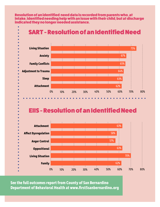Resolution of an identified need data is recorded from parents who, at intake, identified needing help with an issue with their child, but at discharge indicated they no longer needed assistance.



**See the full outcomes report from County of San Bernardino Department of Behavioral Health at www.first5sanbernardino.org**